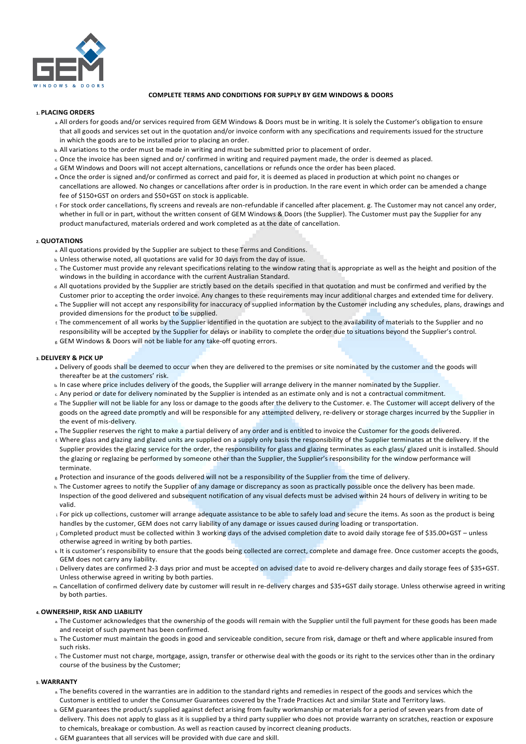

# **COMPLETE TERMS AND CONDITIONS FOR SUPPLY BY GEM WINDOWS & DOORS**

# **1. PLACING ORDERS**

- a All orders for goods and/or services required from GEM Windows & Doors must be in writing. It is solely the Customer's obligation to ensure that all goods and services set out in the quotation and/or invoice conform with any specifications and requirements issued for the structure in which the goods are to be installed prior to placing an order.
- b. All variations to the order must be made in writing and must be submitted prior to placement of order.
- c. Once the invoice has been signed and or/ confirmed in writing and required payment made, the order is deemed as placed.
- d. GEM Windows and Doors will not accept alternations, cancellations or refunds once the order has been placed.
- e. Once the order is signed and/or confirmed as correct and paid for, it is deemed as placed in production at which point no changes or cancellations are allowed. No changes or cancellations after order is in production. In the rare event in which order can be amended a change fee of \$150+GST on orders and \$50+GST on stock is applicable.
- f. For stock order cancellations, fly screens and reveals are non-refundable if cancelled after placement. g. The Customer may not cancel any order, whether in full or in part, without the written consent of GEM Windows & Doors (the Supplier). The Customer must pay the Supplier for any product manufactured, materials ordered and work completed as at the date of cancellation.

## **2.QUOTATIONS**

- a. All quotations provided by the Supplier are subject to these Terms and Conditions.
- b. Unless otherwise noted, all quotations are valid for 30 days from the day of issue.
- c. The Customer must provide any relevant specifications relating to the window rating that is appropriate as well as the height and position of the windows in the building in accordance with the current Australian Standard.
- d. All quotations provided by the Supplier are strictly based on the details specified in that quotation and must be confirmed and verified by the Customer prior to accepting the order invoice. Any changes to these requirements may incur additional charges and extended time for delivery.
- e. The Supplier will not accept any responsibility for inaccuracy of supplied information by the Customer including any schedules, plans, drawings and provided dimensions for the product to be supplied.
- f. The commencement of all works by the Supplier identified in the quotation are subject to the availability of materials to the Supplier and no responsibility will be accepted by the Supplier for delays or inability to complete the order due to situations beyond the Supplier's control. g. GEM Windows & Doors will not be liable for any take-off quoting errors.

## **3. DELIVERY & PICK UP**

- a. Delivery of goods shall be deemed to occur when they are delivered to the premises or site nominated by the customer and the goods will thereafter be at the customers' risk.
- b. In case where price includes delivery of the goods, the Supplier will arrange delivery in the manner nominated by the Supplier.
- c. Any period or date for delivery nominated by the Supplier is intended as an estimate only and is not a contractual commitment.
- d. The Supplier will not be liable for any loss or damage to the goods after the delivery to the Customer. e. The Customer will accept delivery of the goods on the agreed date promptly and will be responsible for any attempted delivery, re-delivery or storage charges incurred by the Supplier in the event of mis-delivery.
- e. The Supplier reserves the right to make a partial delivery of any order and is entitled to invoice the Customer for the goods delivered.
- f. Where glass and glazing and glazed units are supplied on a supply only basis the responsibility of the Supplier terminates at the delivery. If the Supplier provides the glazing service for the order, the responsibility for glass and glazing terminates as each glass/ glazed unit is installed. Should the glazing or reglazing be performed by someone other than the Supplier, the Supplier's responsibility for the window performance will terminate.
- $g$  Protection and insurance of the goods delivered will not be a responsibility of the Supplier from the time of delivery.
- h. The Customer agrees to notify the Supplier of any damage or discrepancy as soon as practically possible once the delivery has been made. Inspection of the good delivered and subsequent notification of any visual defects must be advised within 24 hours of delivery in writing to be valid.
- If or pick up collections, customer will arrange adequate assistance to be able to safely load and secure the items. As soon as the product is being handles by the customer, GEM does not carry liability of any damage or issues caused during loading or transportation.
- j. Completed product must be collected within 3 working days of the advised completion date to avoid daily storage fee of \$35.00+GST unless otherwise agreed in writing by both parties.
- k. It is customer's responsibility to ensure that the goods being collected are correct, complete and damage free. Once customer accepts the goods, GEM does not carry any liability.
- l. Delivery dates are confirmed 2-3 days prior and must be accepted on advised date to avoid re-delivery charges and daily storage fees of \$35+GST. Unless otherwise agreed in writing by both parties.
- m. Cancellation of confirmed delivery date by customer will result in re-delivery charges and \$35+GST daily storage. Unless otherwise agreed in writing by both parties.

## **4.OWNERSHIP, RISK AND LIABILITY**

- a The Customer acknowledges that the ownership of the goods will remain with the Supplier until the full payment for these goods has been made and receipt of such payment has been confirmed.
- b. The Customer must maintain the goods in good and serviceable condition, secure from risk, damage or theft and where applicable insured from such risks.
- c. The Customer must not charge, mortgage, assign, transfer or otherwise deal with the goods or its right to the services other than in the ordinary course of the business by the Customer;

#### **5. WARRANTY**

- a. The benefits covered in the warranties are in addition to the standard rights and remedies in respect of the goods and services which the Customer is entitled to under the Consumer Guarantees covered by the Trade Practices Act and similar State and Territory laws.
- b. GEM guarantees the product/s supplied against defect arising from faulty workmanship or materials for a period of seven years from date of delivery. This does not apply to glass as it is supplied by a third party supplier who does not provide warranty on scratches, reaction or exposure to chemicals, breakage or combustion. As well as reaction caused by incorrect cleaning products.
- c. GEM guarantees that all services will be provided with due care and skill.